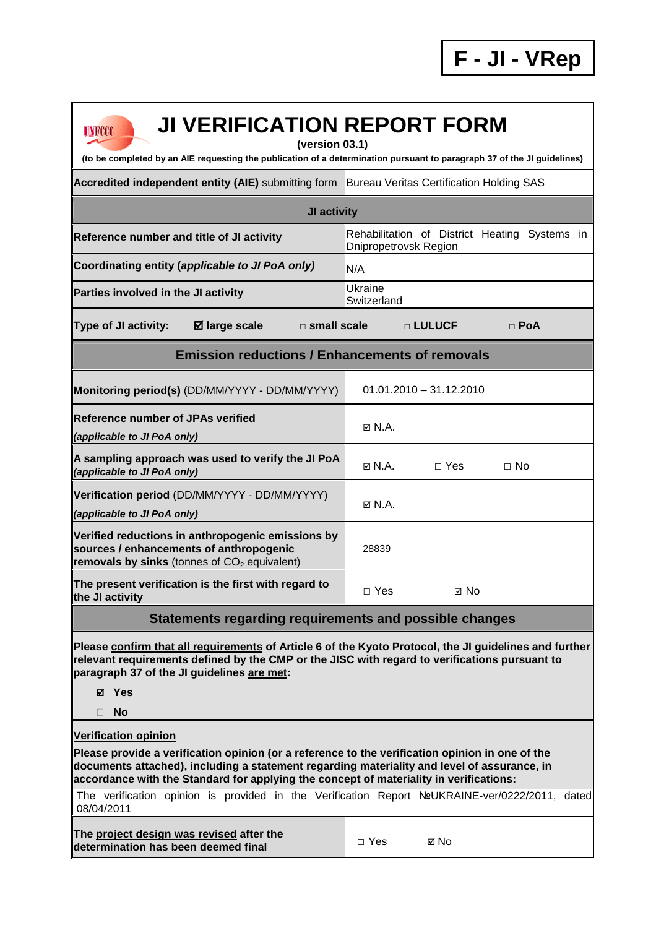| <b>JI VERIFICATION REPORT FORM</b><br><b>UNFCCC</b><br>(version 03.1)<br>(to be completed by an AIE requesting the publication of a determination pursuant to paragraph 37 of the JI guidelines)                                                                                                                        |                                                                        |  |  |  |  |  |
|-------------------------------------------------------------------------------------------------------------------------------------------------------------------------------------------------------------------------------------------------------------------------------------------------------------------------|------------------------------------------------------------------------|--|--|--|--|--|
| Accredited independent entity (AIE) submitting form Bureau Veritas Certification Holding SAS                                                                                                                                                                                                                            |                                                                        |  |  |  |  |  |
| JI activity                                                                                                                                                                                                                                                                                                             |                                                                        |  |  |  |  |  |
| Reference number and title of JI activity                                                                                                                                                                                                                                                                               | Rehabilitation of District Heating Systems in<br>Dnipropetrovsk Region |  |  |  |  |  |
| Coordinating entity (applicable to JI PoA only)                                                                                                                                                                                                                                                                         | N/A                                                                    |  |  |  |  |  |
| Parties involved in the JI activity                                                                                                                                                                                                                                                                                     | Ukraine<br>Switzerland                                                 |  |  |  |  |  |
| <b>Type of JI activity:</b><br>$\square$ small scale<br><b>Ø</b> large scale                                                                                                                                                                                                                                            | <b>DELULUCF</b><br>$\Box$ PoA                                          |  |  |  |  |  |
| <b>Emission reductions / Enhancements of removals</b>                                                                                                                                                                                                                                                                   |                                                                        |  |  |  |  |  |
| Monitoring period(s) (DD/MM/YYYY - DD/MM/YYYY)                                                                                                                                                                                                                                                                          | $01.01.2010 - 31.12.2010$                                              |  |  |  |  |  |
| <b>Reference number of JPAs verified</b><br>(applicable to JI PoA only)                                                                                                                                                                                                                                                 | $\boxtimes$ N.A.                                                       |  |  |  |  |  |
| A sampling approach was used to verify the JI PoA<br>(applicable to JI PoA only)                                                                                                                                                                                                                                        | $\boxtimes$ N.A.<br>$\Box$ Yes<br>$\Box$ No                            |  |  |  |  |  |
| Verification period (DD/MM/YYYY - DD/MM/YYYY)<br>(applicable to JI PoA only)                                                                                                                                                                                                                                            | $\boxtimes$ N.A.                                                       |  |  |  |  |  |
| Verified reductions in anthropogenic emissions by<br>sources / enhancements of anthropogenic<br>removals by sinks (tonnes of $CO2$ equivalent)                                                                                                                                                                          | 28839                                                                  |  |  |  |  |  |
| The present verification is the first with regard to<br>the JI activity                                                                                                                                                                                                                                                 | $\Box$ Yes<br>⊠ No                                                     |  |  |  |  |  |
| Statements regarding requirements and possible changes                                                                                                                                                                                                                                                                  |                                                                        |  |  |  |  |  |
| Please confirm that all requirements of Article 6 of the Kyoto Protocol, the JI guidelines and further<br>relevant requirements defined by the CMP or the JISC with regard to verifications pursuant to<br>paragraph 37 of the JI guidelines are met:<br><b>⊠</b> Yes<br><b>No</b>                                      |                                                                        |  |  |  |  |  |
| <b>Verification opinion</b><br>Please provide a verification opinion (or a reference to the verification opinion in one of the<br>documents attached), including a statement regarding materiality and level of assurance, in<br>accordance with the Standard for applying the concept of materiality in verifications: |                                                                        |  |  |  |  |  |
| The verification opinion is provided in the Verification Report NºUKRAINE-ver/0222/2011, dated<br>08/04/2011                                                                                                                                                                                                            |                                                                        |  |  |  |  |  |
| The project design was revised after the<br>determination has been deemed final                                                                                                                                                                                                                                         | $\Box$ Yes<br>⊠ No                                                     |  |  |  |  |  |